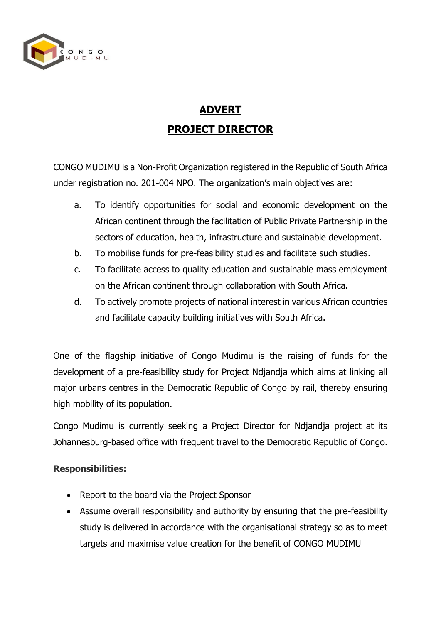

# **ADVERT PROJECT DIRECTOR**

CONGO MUDIMU is a Non-Profit Organization registered in the Republic of South Africa under registration no. 201-004 NPO. The organization's main objectives are:

- a. To identify opportunities for social and economic development on the African continent through the facilitation of Public Private Partnership in the sectors of education, health, infrastructure and sustainable development.
- b. To mobilise funds for pre-feasibility studies and facilitate such studies.
- c. To facilitate access to quality education and sustainable mass employment on the African continent through collaboration with South Africa.
- d. To actively promote projects of national interest in various African countries and facilitate capacity building initiatives with South Africa.

One of the flagship initiative of Congo Mudimu is the raising of funds for the development of a pre-feasibility study for Project Ndjandja which aims at linking all major urbans centres in the Democratic Republic of Congo by rail, thereby ensuring high mobility of its population.

Congo Mudimu is currently seeking a Project Director for Ndjandja project at its Johannesburg-based office with frequent travel to the Democratic Republic of Congo.

## **Responsibilities:**

- Report to the board via the Project Sponsor
- Assume overall responsibility and authority by ensuring that the pre-feasibility study is delivered in accordance with the organisational strategy so as to meet targets and maximise value creation for the benefit of CONGO MUDIMU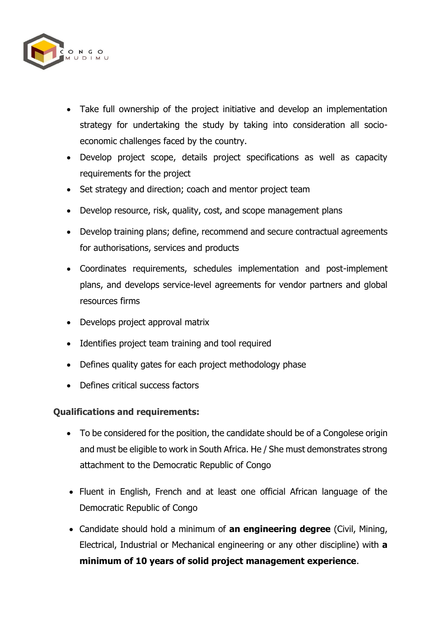

- Take full ownership of the project initiative and develop an implementation strategy for undertaking the study by taking into consideration all socioeconomic challenges faced by the country.
- Develop project scope, details project specifications as well as capacity requirements for the project
- Set strategy and direction; coach and mentor project team
- Develop resource, risk, quality, cost, and scope management plans
- Develop training plans; define, recommend and secure contractual agreements for authorisations, services and products
- Coordinates requirements, schedules implementation and post-implement plans, and develops service-level agreements for vendor partners and global resources firms
- Develops project approval matrix
- Identifies project team training and tool required
- Defines quality gates for each project methodology phase
- Defines critical success factors

## **Qualifications and requirements:**

- To be considered for the position, the candidate should be of a Congolese origin and must be eligible to work in South Africa. He / She must demonstrates strong attachment to the Democratic Republic of Congo
- Fluent in English, French and at least one official African language of the Democratic Republic of Congo
- Candidate should hold a minimum of **an engineering degree** (Civil, Mining, Electrical, Industrial or Mechanical engineering or any other discipline) with **a minimum of 10 years of solid project management experience**.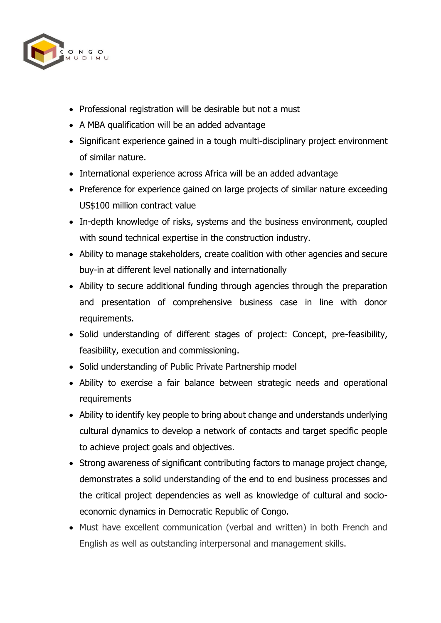

- Professional registration will be desirable but not a must
- A MBA qualification will be an added advantage
- Significant experience gained in a tough multi-disciplinary project environment of similar nature.
- International experience across Africa will be an added advantage
- Preference for experience gained on large projects of similar nature exceeding US\$100 million contract value
- In-depth knowledge of risks, systems and the business environment, coupled with sound technical expertise in the construction industry.
- Ability to manage stakeholders, create coalition with other agencies and secure buy-in at different level nationally and internationally
- Ability to secure additional funding through agencies through the preparation and presentation of comprehensive business case in line with donor requirements.
- Solid understanding of different stages of project: Concept, pre-feasibility, feasibility, execution and commissioning.
- Solid understanding of Public Private Partnership model
- Ability to exercise a fair balance between strategic needs and operational requirements
- Ability to identify key people to bring about change and understands underlying cultural dynamics to develop a network of contacts and target specific people to achieve project goals and objectives.
- Strong awareness of significant contributing factors to manage project change, demonstrates a solid understanding of the end to end business processes and the critical project dependencies as well as knowledge of cultural and socioeconomic dynamics in Democratic Republic of Congo.
- Must have excellent communication (verbal and written) in both French and English as well as outstanding interpersonal and management skills.